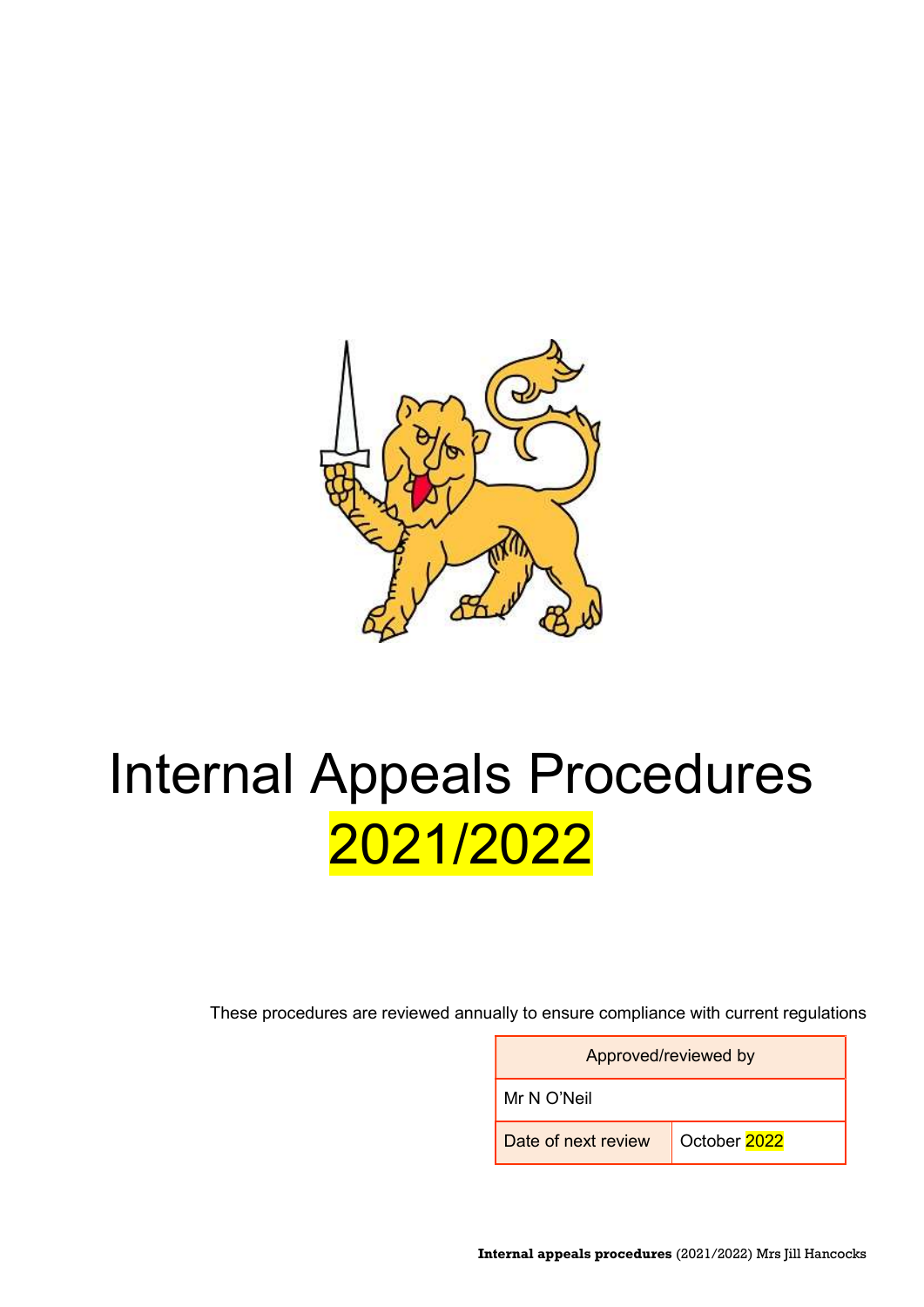

# Internal Appeals Procedures 2021/2022

These procedures are reviewed annually to ensure compliance with current regulations

| Approved/reviewed by |              |  |  |  |
|----------------------|--------------|--|--|--|
| Mr N O'Neil          |              |  |  |  |
| Date of next review  | October 2022 |  |  |  |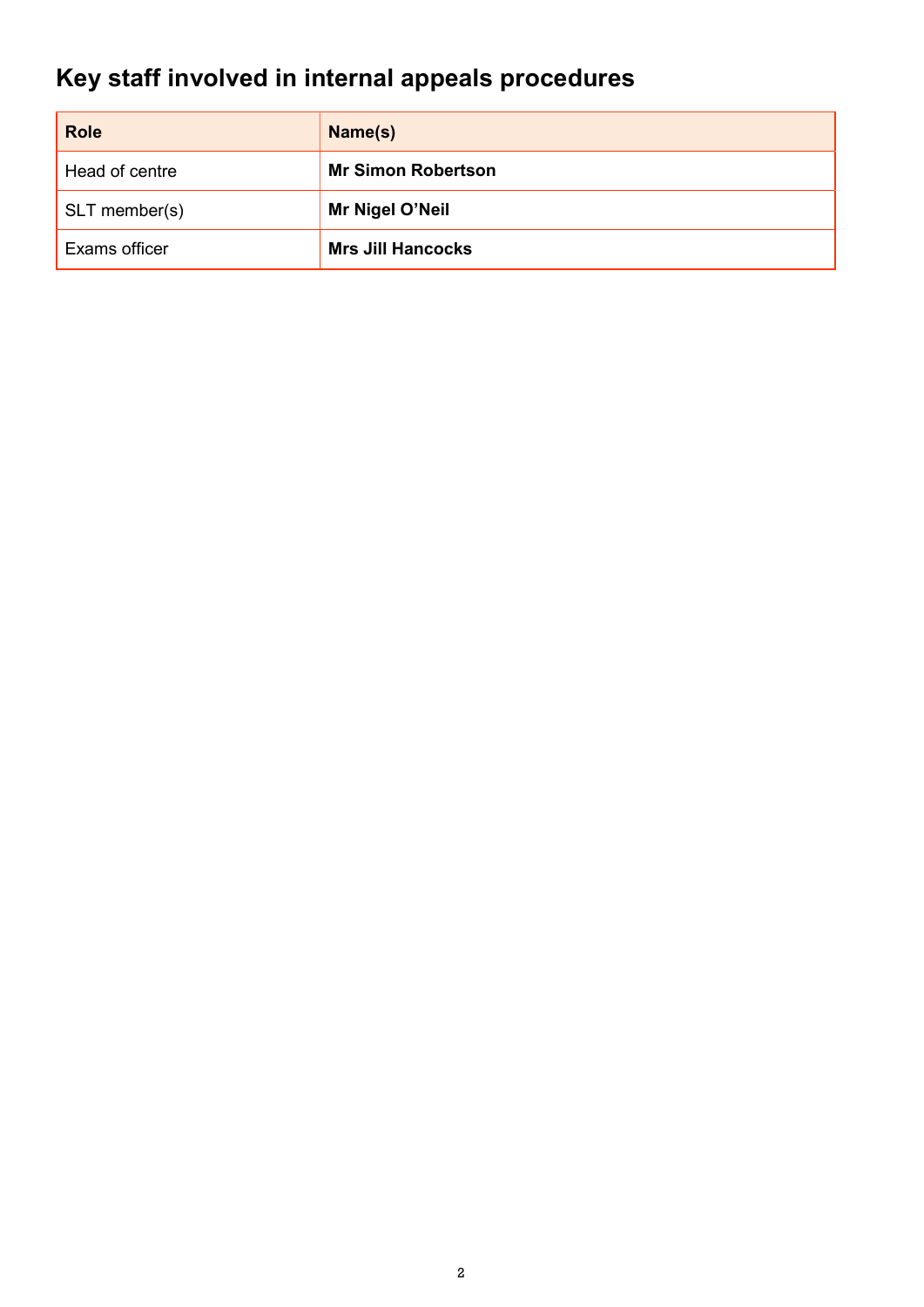## Key staff involved in internal appeals procedures

| <b>Role</b>              | Name(s)                   |  |
|--------------------------|---------------------------|--|
| Head of centre           | <b>Mr Simon Robertson</b> |  |
| $\mathsf{SLT}$ member(s) | Mr Nigel O'Neil           |  |
| Exams officer            | <b>Mrs Jill Hancocks</b>  |  |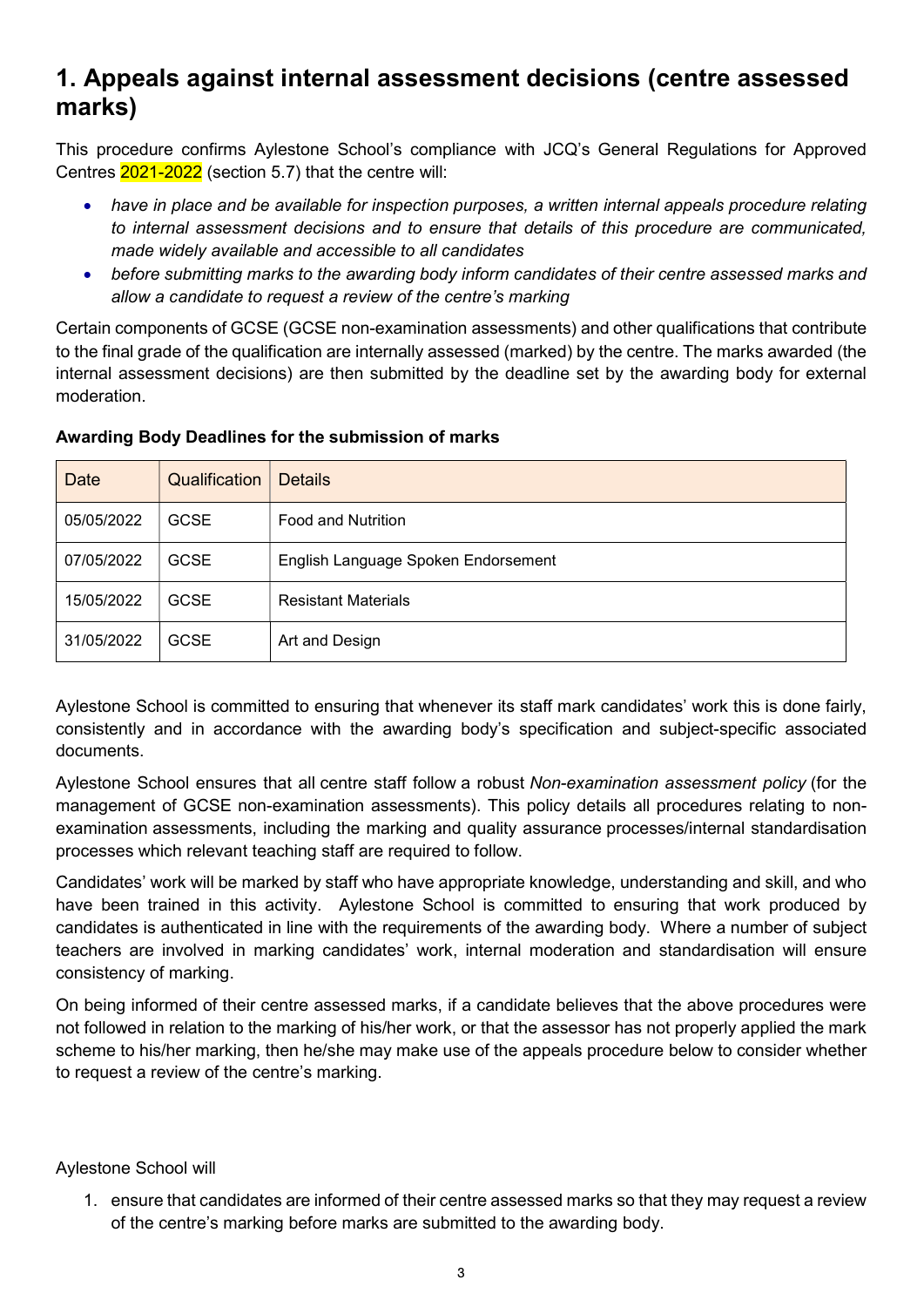## 1. Appeals against internal assessment decisions (centre assessed marks)

This procedure confirms Aylestone School's compliance with JCQ's General Regulations for Approved Centres 2021-2022 (section 5.7) that the centre will:

- have in place and be available for inspection purposes, a written internal appeals procedure relating to internal assessment decisions and to ensure that details of this procedure are communicated, made widely available and accessible to all candidates
- before submitting marks to the awarding body inform candidates of their centre assessed marks and allow a candidate to request a review of the centre's marking

Certain components of GCSE (GCSE non-examination assessments) and other qualifications that contribute to the final grade of the qualification are internally assessed (marked) by the centre. The marks awarded (the internal assessment decisions) are then submitted by the deadline set by the awarding body for external moderation.

| <b>Date</b> | Qualification | <b>Details</b>                      |
|-------------|---------------|-------------------------------------|
| 05/05/2022  | <b>GCSE</b>   | Food and Nutrition                  |
| 07/05/2022  | <b>GCSE</b>   | English Language Spoken Endorsement |
| 15/05/2022  | <b>GCSE</b>   | <b>Resistant Materials</b>          |
| 31/05/2022  | <b>GCSE</b>   | Art and Design                      |

#### Awarding Body Deadlines for the submission of marks

Aylestone School is committed to ensuring that whenever its staff mark candidates' work this is done fairly, consistently and in accordance with the awarding body's specification and subject-specific associated documents.

Aylestone School ensures that all centre staff follow a robust Non-examination assessment policy (for the management of GCSE non-examination assessments). This policy details all procedures relating to nonexamination assessments, including the marking and quality assurance processes/internal standardisation processes which relevant teaching staff are required to follow.

Candidates' work will be marked by staff who have appropriate knowledge, understanding and skill, and who have been trained in this activity. Aylestone School is committed to ensuring that work produced by candidates is authenticated in line with the requirements of the awarding body. Where a number of subject teachers are involved in marking candidates' work, internal moderation and standardisation will ensure consistency of marking.

On being informed of their centre assessed marks, if a candidate believes that the above procedures were not followed in relation to the marking of his/her work, or that the assessor has not properly applied the mark scheme to his/her marking, then he/she may make use of the appeals procedure below to consider whether to request a review of the centre's marking.

## Aylestone School will

1. ensure that candidates are informed of their centre assessed marks so that they may request a review of the centre's marking before marks are submitted to the awarding body.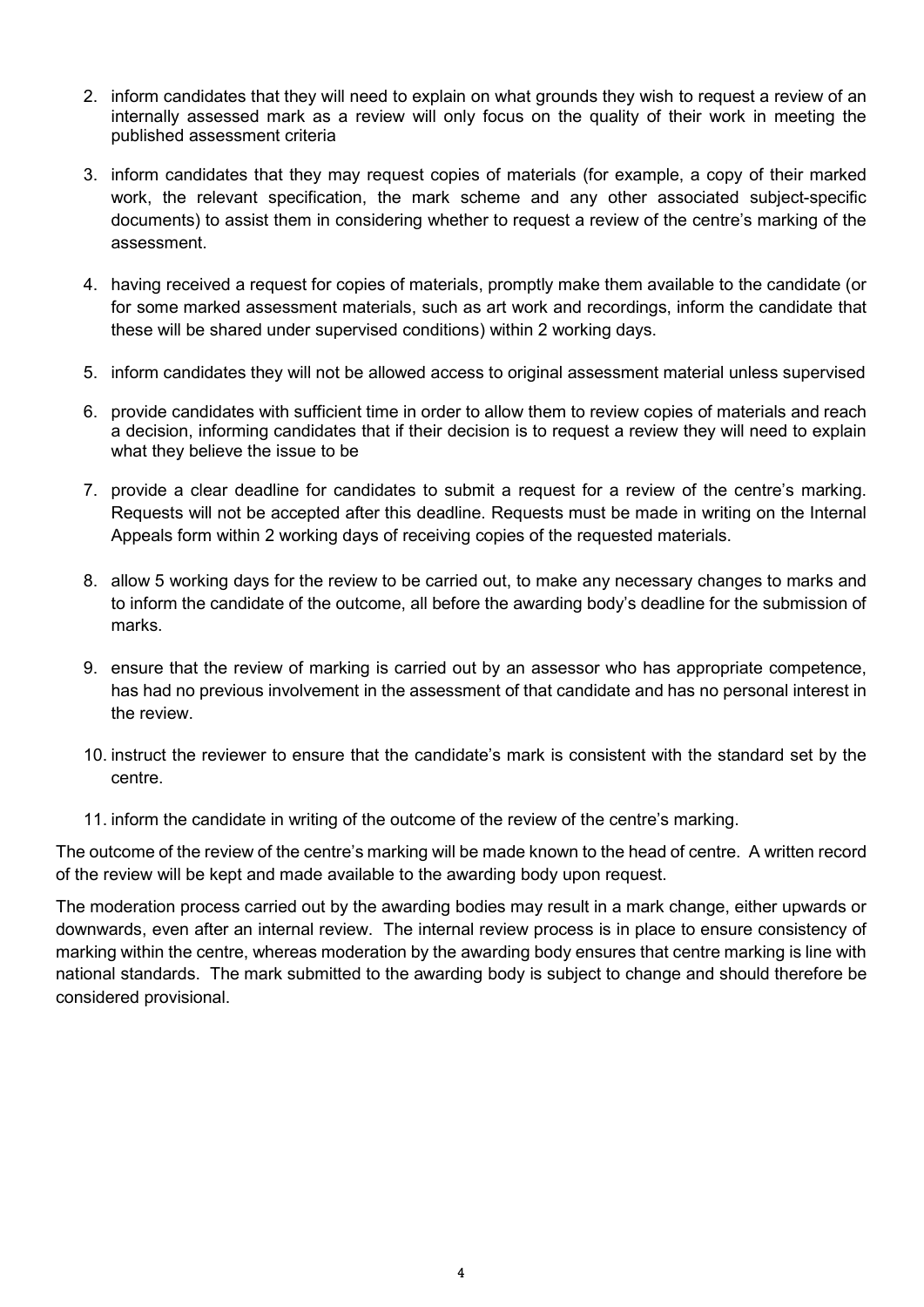- 2. inform candidates that they will need to explain on what grounds they wish to request a review of an internally assessed mark as a review will only focus on the quality of their work in meeting the published assessment criteria
- 3. inform candidates that they may request copies of materials (for example, a copy of their marked work, the relevant specification, the mark scheme and any other associated subject-specific documents) to assist them in considering whether to request a review of the centre's marking of the assessment.
- 4. having received a request for copies of materials, promptly make them available to the candidate (or for some marked assessment materials, such as art work and recordings, inform the candidate that these will be shared under supervised conditions) within 2 working days.
- 5. inform candidates they will not be allowed access to original assessment material unless supervised
- 6. provide candidates with sufficient time in order to allow them to review copies of materials and reach a decision, informing candidates that if their decision is to request a review they will need to explain what they believe the issue to be
- 7. provide a clear deadline for candidates to submit a request for a review of the centre's marking. Requests will not be accepted after this deadline. Requests must be made in writing on the Internal Appeals form within 2 working days of receiving copies of the requested materials.
- 8. allow 5 working days for the review to be carried out, to make any necessary changes to marks and to inform the candidate of the outcome, all before the awarding body's deadline for the submission of marks.
- 9. ensure that the review of marking is carried out by an assessor who has appropriate competence, has had no previous involvement in the assessment of that candidate and has no personal interest in the review.
- 10. instruct the reviewer to ensure that the candidate's mark is consistent with the standard set by the centre.
- 11. inform the candidate in writing of the outcome of the review of the centre's marking.

The outcome of the review of the centre's marking will be made known to the head of centre. A written record of the review will be kept and made available to the awarding body upon request.

The moderation process carried out by the awarding bodies may result in a mark change, either upwards or downwards, even after an internal review. The internal review process is in place to ensure consistency of marking within the centre, whereas moderation by the awarding body ensures that centre marking is line with national standards. The mark submitted to the awarding body is subject to change and should therefore be considered provisional.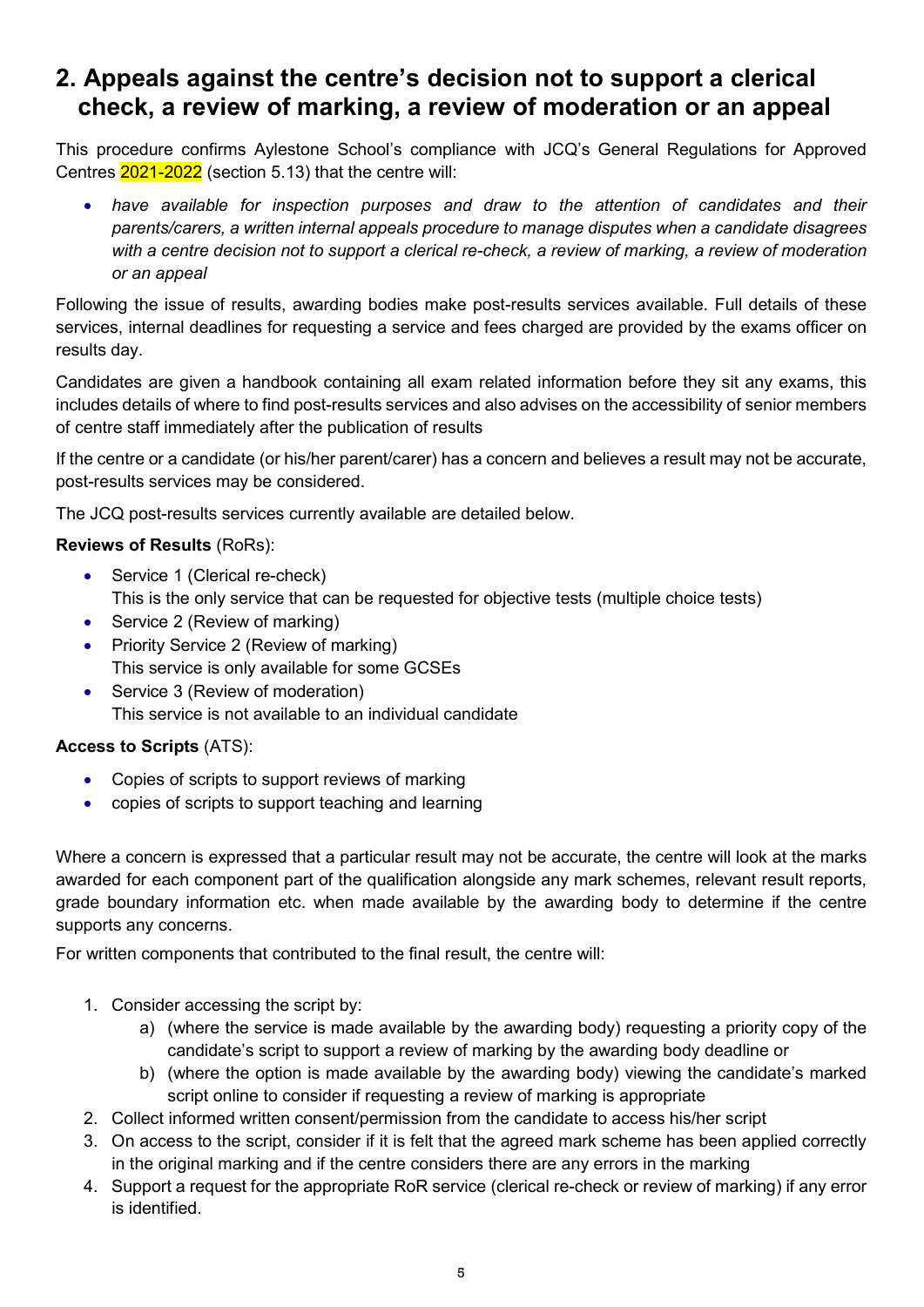## 2. Appeals against the centre's decision not to support a clerical check, a review of marking, a review of moderation or an appeal

This procedure confirms Aylestone School's compliance with JCQ's General Regulations for Approved Centres 2021-2022 (section 5.13) that the centre will:

 have available for inspection purposes and draw to the attention of candidates and their parents/carers, a written internal appeals procedure to manage disputes when a candidate disagrees with a centre decision not to support a clerical re-check, a review of marking, a review of moderation or an appeal

Following the issue of results, awarding bodies make post-results services available. Full details of these services, internal deadlines for requesting a service and fees charged are provided by the exams officer on results day.

Candidates are given a handbook containing all exam related information before they sit any exams, this includes details of where to find post-results services and also advises on the accessibility of senior members of centre staff immediately after the publication of results

If the centre or a candidate (or his/her parent/carer) has a concern and believes a result may not be accurate, post-results services may be considered.

The JCQ post-results services currently available are detailed below.

## Reviews of Results (RoRs):

- Service 1 (Clerical re-check)
	- This is the only service that can be requested for objective tests (multiple choice tests)
- Service 2 (Review of marking)
- Priority Service 2 (Review of marking) This service is only available for some GCSEs
- Service 3 (Review of moderation) This service is not available to an individual candidate

## Access to Scripts (ATS):

- Copies of scripts to support reviews of marking
- copies of scripts to support teaching and learning

Where a concern is expressed that a particular result may not be accurate, the centre will look at the marks awarded for each component part of the qualification alongside any mark schemes, relevant result reports, grade boundary information etc. when made available by the awarding body to determine if the centre supports any concerns.

For written components that contributed to the final result, the centre will:

- 1. Consider accessing the script by:
	- a) (where the service is made available by the awarding body) requesting a priority copy of the candidate's script to support a review of marking by the awarding body deadline or
	- b) (where the option is made available by the awarding body) viewing the candidate's marked script online to consider if requesting a review of marking is appropriate
- 2. Collect informed written consent/permission from the candidate to access his/her script
- 3. On access to the script, consider if it is felt that the agreed mark scheme has been applied correctly in the original marking and if the centre considers there are any errors in the marking
- 4. Support a request for the appropriate RoR service (clerical re-check or review of marking) if any error is identified.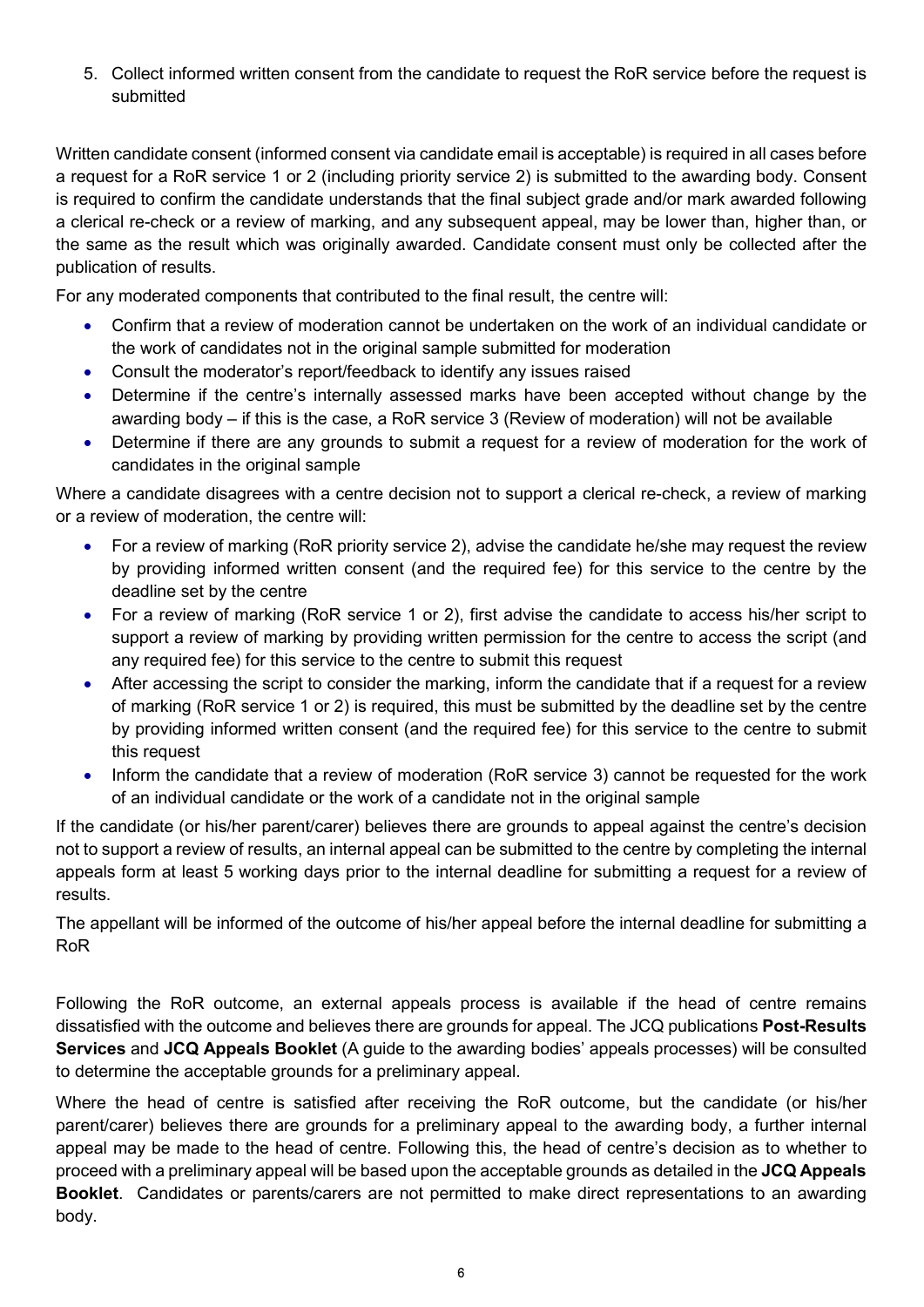5. Collect informed written consent from the candidate to request the RoR service before the request is submitted

Written candidate consent (informed consent via candidate email is acceptable) is required in all cases before a request for a RoR service 1 or 2 (including priority service 2) is submitted to the awarding body. Consent is required to confirm the candidate understands that the final subject grade and/or mark awarded following a clerical re-check or a review of marking, and any subsequent appeal, may be lower than, higher than, or the same as the result which was originally awarded. Candidate consent must only be collected after the publication of results.

For any moderated components that contributed to the final result, the centre will:

- Confirm that a review of moderation cannot be undertaken on the work of an individual candidate or the work of candidates not in the original sample submitted for moderation
- Consult the moderator's report/feedback to identify any issues raised
- Determine if the centre's internally assessed marks have been accepted without change by the awarding body – if this is the case, a RoR service 3 (Review of moderation) will not be available
- Determine if there are any grounds to submit a request for a review of moderation for the work of candidates in the original sample

Where a candidate disagrees with a centre decision not to support a clerical re-check, a review of marking or a review of moderation, the centre will:

- For a review of marking (RoR priority service 2), advise the candidate he/she may request the review by providing informed written consent (and the required fee) for this service to the centre by the deadline set by the centre
- For a review of marking (RoR service 1 or 2), first advise the candidate to access his/her script to support a review of marking by providing written permission for the centre to access the script (and any required fee) for this service to the centre to submit this request
- After accessing the script to consider the marking, inform the candidate that if a request for a review of marking (RoR service 1 or 2) is required, this must be submitted by the deadline set by the centre by providing informed written consent (and the required fee) for this service to the centre to submit this request
- Inform the candidate that a review of moderation (RoR service 3) cannot be requested for the work of an individual candidate or the work of a candidate not in the original sample

If the candidate (or his/her parent/carer) believes there are grounds to appeal against the centre's decision not to support a review of results, an internal appeal can be submitted to the centre by completing the internal appeals form at least 5 working days prior to the internal deadline for submitting a request for a review of results.

The appellant will be informed of the outcome of his/her appeal before the internal deadline for submitting a RoR

Following the RoR outcome, an external appeals process is available if the head of centre remains dissatisfied with the outcome and believes there are grounds for appeal. The JCQ publications Post-Results Services and JCQ Appeals Booklet (A guide to the awarding bodies' appeals processes) will be consulted to determine the acceptable grounds for a preliminary appeal.

Where the head of centre is satisfied after receiving the RoR outcome, but the candidate (or his/her parent/carer) believes there are grounds for a preliminary appeal to the awarding body, a further internal appeal may be made to the head of centre. Following this, the head of centre's decision as to whether to proceed with a preliminary appeal will be based upon the acceptable grounds as detailed in the JCQ Appeals Booklet. Candidates or parents/carers are not permitted to make direct representations to an awarding body.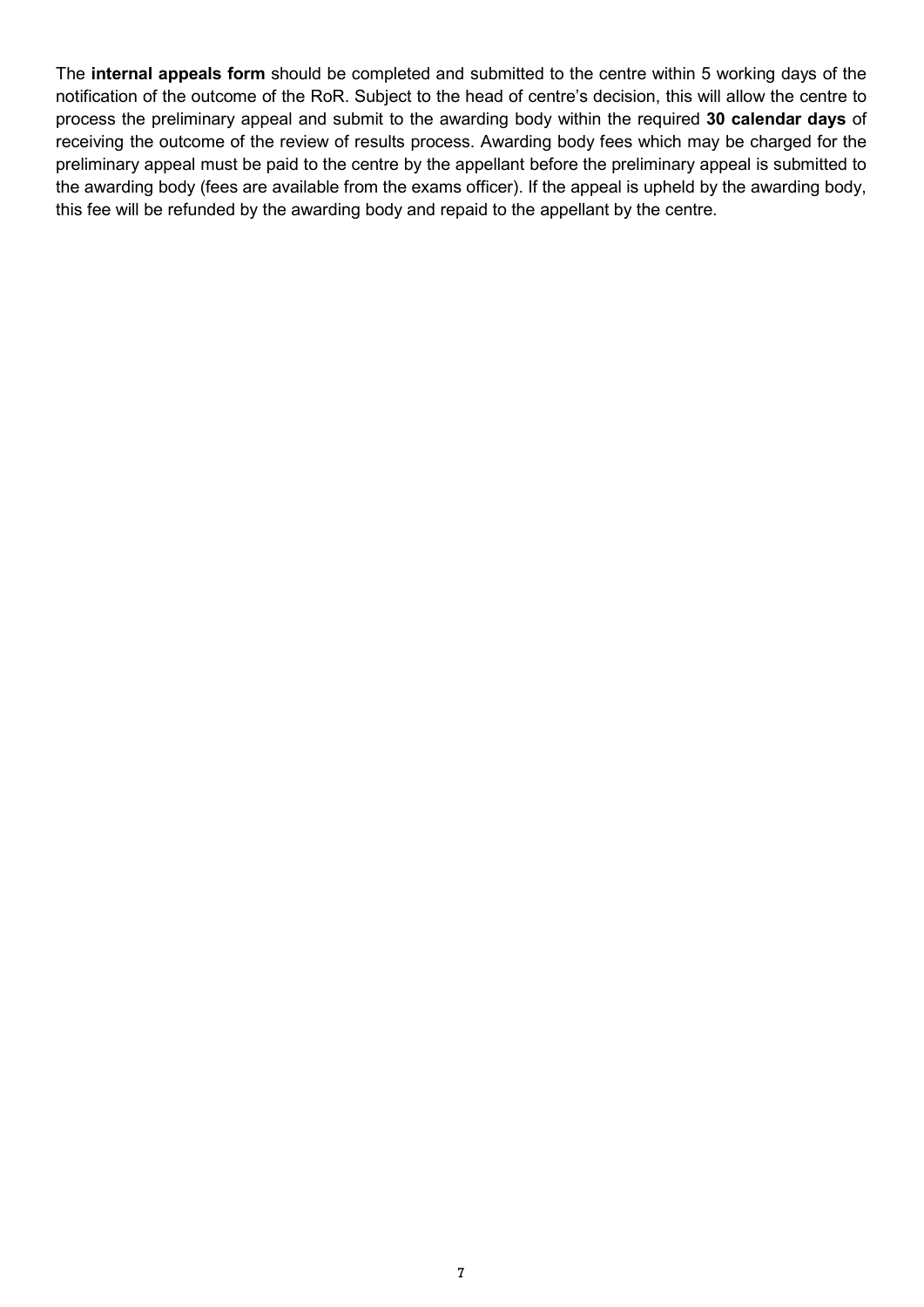The internal appeals form should be completed and submitted to the centre within 5 working days of the notification of the outcome of the RoR. Subject to the head of centre's decision, this will allow the centre to process the preliminary appeal and submit to the awarding body within the required 30 calendar days of receiving the outcome of the review of results process. Awarding body fees which may be charged for the preliminary appeal must be paid to the centre by the appellant before the preliminary appeal is submitted to the awarding body (fees are available from the exams officer). If the appeal is upheld by the awarding body, this fee will be refunded by the awarding body and repaid to the appellant by the centre.